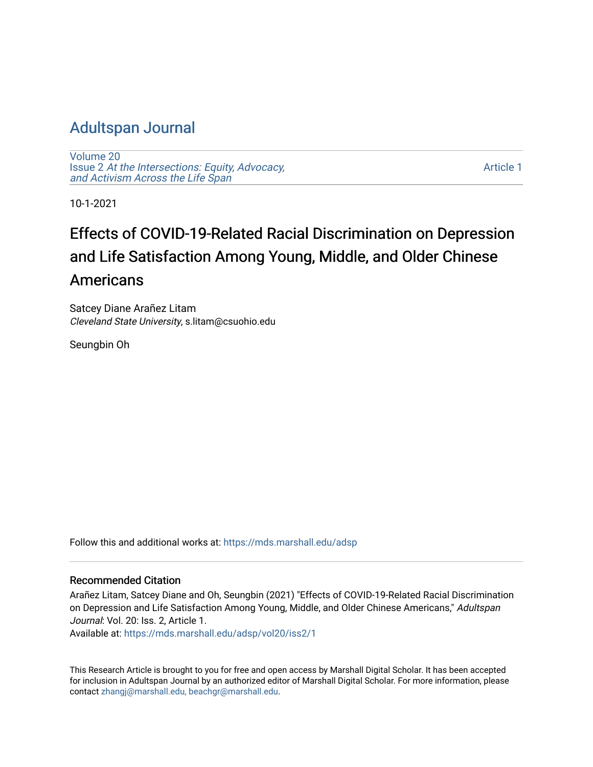# [Adultspan Journal](https://mds.marshall.edu/adsp)

[Volume 20](https://mds.marshall.edu/adsp/vol20) Issue 2 [At the Intersections: Equity, Advocacy,](https://mds.marshall.edu/adsp/vol20/iss2) [and Activism Across the Life Span](https://mds.marshall.edu/adsp/vol20/iss2) 

[Article 1](https://mds.marshall.edu/adsp/vol20/iss2/1) 

10-1-2021

# Effects of COVID-19-Related Racial Discrimination on Depression and Life Satisfaction Among Young, Middle, and Older Chinese Americans

Satcey Diane Arañez Litam Cleveland State University, s.litam@csuohio.edu

Seungbin Oh

Follow this and additional works at: [https://mds.marshall.edu/adsp](https://mds.marshall.edu/adsp?utm_source=mds.marshall.edu%2Fadsp%2Fvol20%2Fiss2%2F1&utm_medium=PDF&utm_campaign=PDFCoverPages) 

#### Recommended Citation

Arañez Litam, Satcey Diane and Oh, Seungbin (2021) "Effects of COVID-19-Related Racial Discrimination on Depression and Life Satisfaction Among Young, Middle, and Older Chinese Americans," Adultspan Journal: Vol. 20: Iss. 2, Article 1.

Available at: [https://mds.marshall.edu/adsp/vol20/iss2/1](https://mds.marshall.edu/adsp/vol20/iss2/1?utm_source=mds.marshall.edu%2Fadsp%2Fvol20%2Fiss2%2F1&utm_medium=PDF&utm_campaign=PDFCoverPages) 

This Research Article is brought to you for free and open access by Marshall Digital Scholar. It has been accepted for inclusion in Adultspan Journal by an authorized editor of Marshall Digital Scholar. For more information, please contact [zhangj@marshall.edu, beachgr@marshall.edu](mailto:zhangj@marshall.edu,%20beachgr@marshall.edu).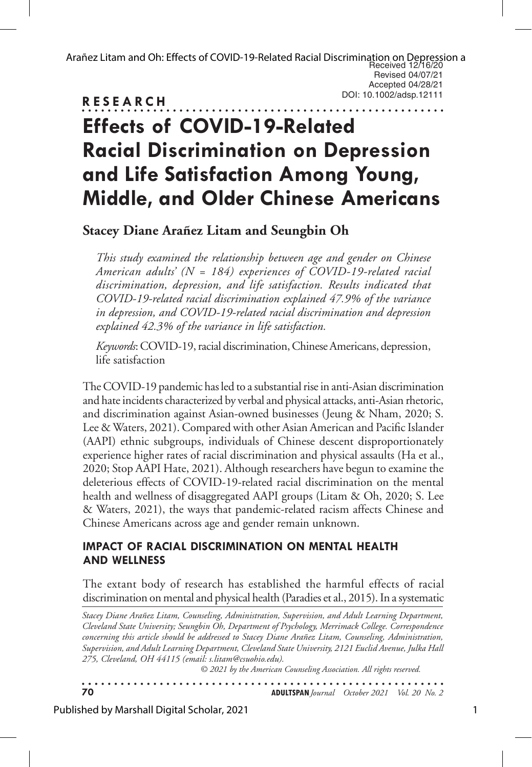Arañez Litam and Oh: Effects of COVID-19-Related Racial Discrimination on Depression a<br>Received 12/16/20 Revised 04/07/21 Accepted 04/28/21 DOI: 10.1002/adsp.12111

# **RESEARCH** . . . . . . . . . . . . . **. Effects of COVID-19-Related Racial Discrimination on Depression and Life Satisfaction Among Young, Middle, and Older Chinese Americans**

**Stacey Diane Arañez Litam and Seungbin Oh**

*This study examined the relationship between age and gender on Chinese American adults' (N = 184) experiences of COVID-19-related racial discrimination, depression, and life satisfaction. Results indicated that COVID-19-related racial discrimination explained 47.9% of the variance in depression, and COVID-19-related racial discrimination and depression explained 42.3% of the variance in life satisfaction.* 

*Keywords*: COVID-19, racial discrimination, Chinese Americans, depression, life satisfaction

The COVID-19 pandemic has led to a substantial rise in anti-Asian discrimination and hate incidents characterized by verbal and physical attacks, anti-Asian rhetoric, and discrimination against Asian-owned businesses (Jeung & Nham, 2020; S. Lee & Waters, 2021). Compared with other Asian American and Pacific Islander (AAPI) ethnic subgroups, individuals of Chinese descent disproportionately experience higher rates of racial discrimination and physical assaults (Ha et al., 2020; Stop AAPI Hate, 2021). Although researchers have begun to examine the deleterious effects of COVID-19-related racial discrimination on the mental health and wellness of disaggregated AAPI groups (Litam & Oh, 2020; S. Lee & Waters, 2021), the ways that pandemic-related racism affects Chinese and Chinese Americans across age and gender remain unknown.

#### **IMPACT OF RACIAL DISCRIMINATION ON MENTAL HEALTH AND WELLNESS**

The extant body of research has established the harmful effects of racial discrimination on mental and physical health (Paradies et al., 2015). In a systematic

*Stacey Diane Arañez Litam, Counseling, Administration, Supervision, and Adult Learning Department, Cleveland State University; Seungbin Oh, Department of Psychology, Merrimack College. Correspondence concerning this article should be addressed to Stacey Diane Arañez Litam, Counseling, Administration, Supervision, and Adult Learning Department, Cleveland State University, 2121 Euclid Avenue, Julka Hall 275, Cleveland, OH 44115 (email: s.litam@csuohio.edu).* 

*© 2021 by the American Counseling Association. All rights reserved.*

**70 ADULTSPAN***Journal October 2021 Vol. 20 No. 2*

Published by Marshall Digital Scholar, 2021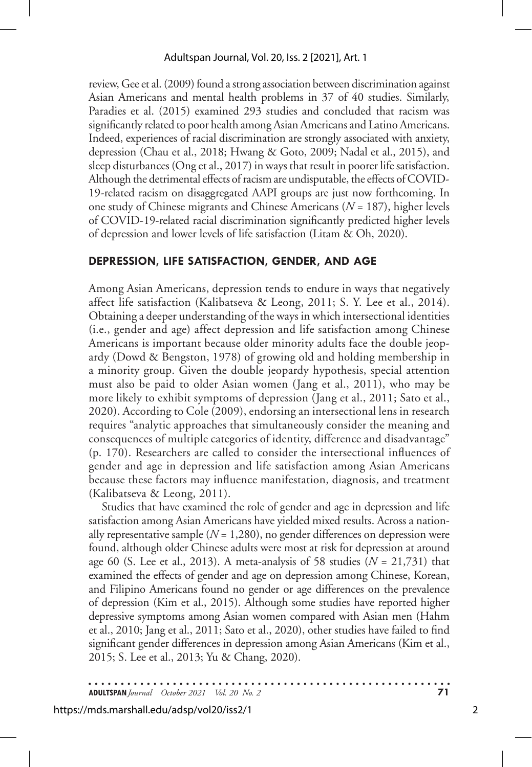review, Gee et al. (2009) found a strong association between discrimination against Asian Americans and mental health problems in 37 of 40 studies. Similarly, Paradies et al. (2015) examined 293 studies and concluded that racism was significantly related to poor health among Asian Americans and Latino Americans. Indeed, experiences of racial discrimination are strongly associated with anxiety, depression (Chau et al., 2018; Hwang & Goto, 2009; Nadal et al., 2015), and sleep disturbances (Ong et al., 2017) in ways that result in poorer life satisfaction. Although the detrimental effects of racism are undisputable, the effects of COVID-19-related racism on disaggregated AAPI groups are just now forthcoming. In one study of Chinese migrants and Chinese Americans (*N* = 187), higher levels of COVID-19-related racial discrimination significantly predicted higher levels of depression and lower levels of life satisfaction (Litam & Oh, 2020).

#### **DEPRESSION, LIFE SATISFACTION, GENDER, AND AGE**

Among Asian Americans, depression tends to endure in ways that negatively affect life satisfaction (Kalibatseva & Leong, 2011; S. Y. Lee et al., 2014). Obtaining a deeper understanding of the ways in which intersectional identities (i.e., gender and age) affect depression and life satisfaction among Chinese Americans is important because older minority adults face the double jeopardy (Dowd & Bengston, 1978) of growing old and holding membership in a minority group. Given the double jeopardy hypothesis, special attention must also be paid to older Asian women (Jang et al., 2011), who may be more likely to exhibit symptoms of depression (Jang et al., 2011; Sato et al., 2020). According to Cole (2009), endorsing an intersectional lens in research requires "analytic approaches that simultaneously consider the meaning and consequences of multiple categories of identity, difference and disadvantage" (p. 170). Researchers are called to consider the intersectional influences of gender and age in depression and life satisfaction among Asian Americans because these factors may influence manifestation, diagnosis, and treatment (Kalibatseva & Leong, 2011).

Studies that have examined the role of gender and age in depression and life satisfaction among Asian Americans have yielded mixed results. Across a nationally representative sample  $(N = 1,280)$ , no gender differences on depression were found, although older Chinese adults were most at risk for depression at around age 60 (S. Lee et al., 2013). A meta-analysis of 58 studies  $(N = 21,731)$  that examined the effects of gender and age on depression among Chinese, Korean, and Filipino Americans found no gender or age differences on the prevalence of depression (Kim et al., 2015). Although some studies have reported higher depressive symptoms among Asian women compared with Asian men (Hahm et al., 2010; Jang et al., 2011; Sato et al., 2020), other studies have failed to find significant gender differences in depression among Asian Americans (Kim et al., 2015; S. Lee et al., 2013; Yu & Chang, 2020).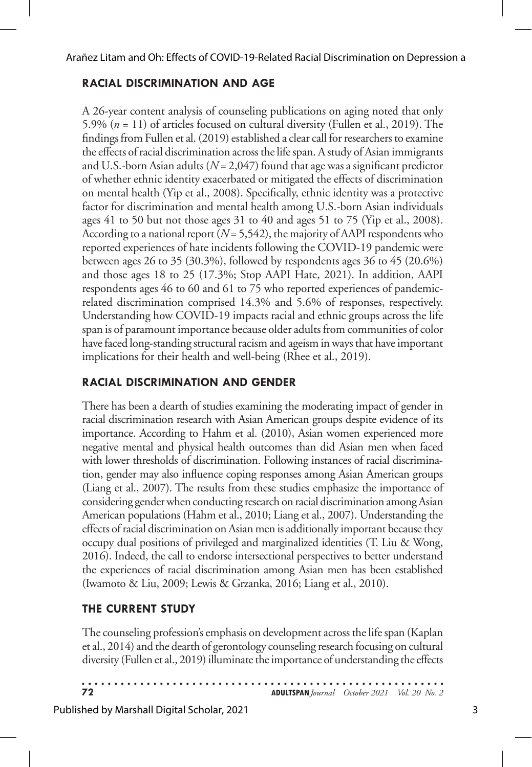## **RACIAL DISCRIMINATION AND AGE**

A 26-year content analysis of counseling publications on aging noted that only 5.9% (*n* = 11) of articles focused on cultural diversity (Fullen et al., 2019). The findings from Fullen et al. (2019) established a clear call for researchers to examine the effects of racial discrimination across the life span. A study of Asian immigrants and U.S.-born Asian adults (*N* = 2,047) found that age was a significant predictor of whether ethnic identity exacerbated or mitigated the effects of discrimination on mental health (Yip et al., 2008). Specifically, ethnic identity was a protective factor for discrimination and mental health among U.S.-born Asian individuals ages 41 to 50 but not those ages 31 to 40 and ages 51 to 75 (Yip et al., 2008). According to a national report (*N* = 5,542), the majority of AAPI respondents who reported experiences of hate incidents following the COVID-19 pandemic were between ages 26 to 35 (30.3%), followed by respondents ages 36 to 45 (20.6%) and those ages 18 to 25 (17.3%; Stop AAPI Hate, 2021). In addition, AAPI respondents ages 46 to 60 and 61 to 75 who reported experiences of pandemicrelated discrimination comprised 14.3% and 5.6% of responses, respectively. Understanding how COVID-19 impacts racial and ethnic groups across the life span is of paramount importance because older adults from communities of color have faced long-standing structural racism and ageism in ways that have important implications for their health and well-being (Rhee et al., 2019).

## **RACIAL DISCRIMINATION AND GENDER**

There has been a dearth of studies examining the moderating impact of gender in racial discrimination research with Asian American groups despite evidence of its importance. According to Hahm et al. (2010), Asian women experienced more negative mental and physical health outcomes than did Asian men when faced with lower thresholds of discrimination. Following instances of racial discrimination, gender may also influence coping responses among Asian American groups (Liang et al., 2007). The results from these studies emphasize the importance of considering gender when conducting research on racial discrimination among Asian American populations (Hahm et al., 2010; Liang et al., 2007). Understanding the effects of racial discrimination on Asian men is additionally important because they occupy dual positions of privileged and marginalized identities (T. Liu & Wong, 2016). Indeed, the call to endorse intersectional perspectives to better understand the experiences of racial discrimination among Asian men has been established (Iwamoto & Liu, 2009; Lewis & Grzanka, 2016; Liang et al., 2010).

### **THE CURRENT STUDY**

The counseling profession's emphasis on development across the life span (Kaplan et al., 2014) and the dearth of gerontology counseling research focusing on cultural diversity (Fullen et al., 2019) illuminate the importance of understanding the effects

| 72 | <b>ADULTSPAN</b> Journal October 2021 Vol. 20 No. 2 |  |
|----|-----------------------------------------------------|--|

Published by Marshall Digital Scholar, 2021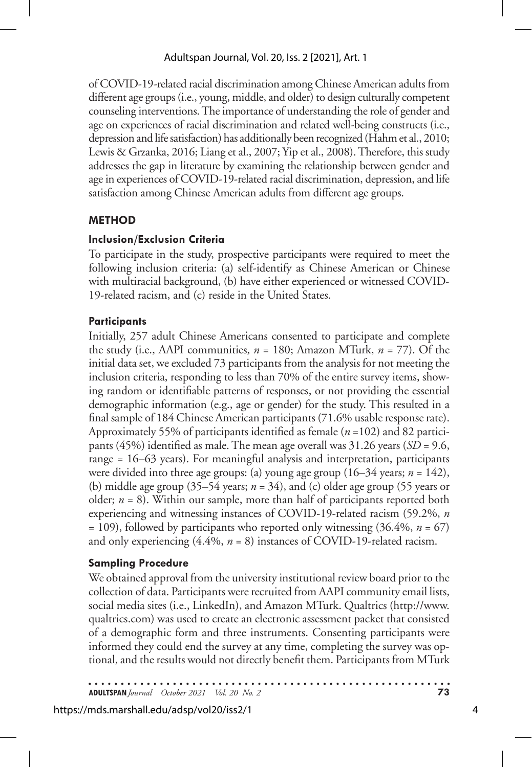of COVID-19-related racial discrimination among Chinese American adults from different age groups (i.e., young, middle, and older) to design culturally competent counseling interventions. The importance of understanding the role of gender and age on experiences of racial discrimination and related well-being constructs (i.e., depression and life satisfaction) has additionally been recognized (Hahm et al., 2010; Lewis & Grzanka, 2016; Liang et al., 2007; Yip et al., 2008). Therefore, this study addresses the gap in literature by examining the relationship between gender and age in experiences of COVID-19-related racial discrimination, depression, and life satisfaction among Chinese American adults from different age groups.

### **METHOD**

#### **Inclusion/Exclusion Criteria**

To participate in the study, prospective participants were required to meet the following inclusion criteria: (a) self-identify as Chinese American or Chinese with multiracial background, (b) have either experienced or witnessed COVID-19-related racism, and (c) reside in the United States.

#### **Participants**

Initially, 257 adult Chinese Americans consented to participate and complete the study (i.e., AAPI communities,  $n = 180$ ; Amazon MTurk,  $n = 77$ ). Of the initial data set, we excluded 73 participants from the analysis for not meeting the inclusion criteria, responding to less than 70% of the entire survey items, showing random or identifiable patterns of responses, or not providing the essential demographic information (e.g., age or gender) for the study. This resulted in a final sample of 184 Chinese American participants (71.6% usable response rate). Approximately 55% of participants identified as female (*n* =102) and 82 participants (45%) identified as male. The mean age overall was 31.26 years (*SD* = 9.6, range = 16–63 years). For meaningful analysis and interpretation, participants were divided into three age groups: (a) young age group  $(16-34 \text{ years}; n = 142)$ , (b) middle age group (35–54 years; *n* = 34), and (c) older age group (55 years or older; *n* = 8). Within our sample, more than half of participants reported both experiencing and witnessing instances of COVID-19-related racism (59.2%, *n*  $= 109$ ), followed by participants who reported only witnessing (36.4%,  $n = 67$ ) and only experiencing (4.4%, *n* = 8) instances of COVID-19-related racism.

#### **Sampling Procedure**

We obtained approval from the university institutional review board prior to the collection of data. Participants were recruited from AAPI community email lists, social media sites (i.e., LinkedIn), and Amazon MTurk. Qualtrics (http://www. qualtrics.com) was used to create an electronic assessment packet that consisted of a demographic form and three instruments. Consenting participants were informed they could end the survey at any time, completing the survey was optional, and the results would not directly benefit them. Participants from MTurk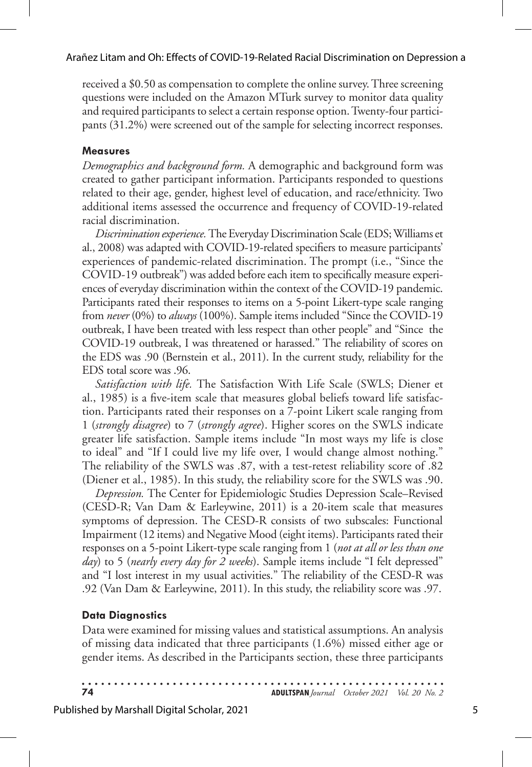received a \$0.50 as compensation to complete the online survey. Three screening questions were included on the Amazon MTurk survey to monitor data quality and required participants to select a certain response option. Twenty-four participants (31.2%) were screened out of the sample for selecting incorrect responses.

#### **Measures**

*Demographics and background form.* A demographic and background form was created to gather participant information. Participants responded to questions related to their age, gender, highest level of education, and race/ethnicity. Two additional items assessed the occurrence and frequency of COVID-19-related racial discrimination.

*Discrimination experience.* The Everyday Discrimination Scale (EDS; Williams et al., 2008) was adapted with COVID-19-related specifiers to measure participants' experiences of pandemic-related discrimination. The prompt (i.e., "Since the COVID-19 outbreak") was added before each item to specifically measure experiences of everyday discrimination within the context of the COVID-19 pandemic. Participants rated their responses to items on a 5-point Likert-type scale ranging from *never* (0%) to *always* (100%). Sample items included "Since the COVID-19 outbreak, I have been treated with less respect than other people" and "Since the COVID-19 outbreak, I was threatened or harassed." The reliability of scores on the EDS was .90 (Bernstein et al., 2011). In the current study, reliability for the EDS total score was .96.

*Satisfaction with life.* The Satisfaction With Life Scale (SWLS; Diener et al., 1985) is a five-item scale that measures global beliefs toward life satisfaction. Participants rated their responses on a 7-point Likert scale ranging from 1 (*strongly disagree*) to 7 (*strongly agree*). Higher scores on the SWLS indicate greater life satisfaction. Sample items include "In most ways my life is close to ideal" and "If I could live my life over, I would change almost nothing." The reliability of the SWLS was .87, with a test-retest reliability score of .82 (Diener et al., 1985). In this study, the reliability score for the SWLS was .90.

*Depression.* The Center for Epidemiologic Studies Depression Scale–Revised (CESD-R; Van Dam & Earleywine, 2011) is a 20-item scale that measures symptoms of depression. The CESD-R consists of two subscales: Functional Impairment (12 items) and Negative Mood (eight items). Participants rated their responses on a 5-point Likert-type scale ranging from 1 (*not at all or less than one day*) to 5 (*nearly every day for 2 weeks*). Sample items include "I felt depressed" and "I lost interest in my usual activities." The reliability of the CESD-R was .92 (Van Dam & Earleywine, 2011). In this study, the reliability score was .97.

#### **Data Diagnostics**

Data were examined for missing values and statistical assumptions. An analysis of missing data indicated that three participants (1.6%) missed either age or gender items. As described in the Participants section, these three participants

. . . . . . **74 ADULTSPAN***Journal October 2021 Vol. 20 No. 2*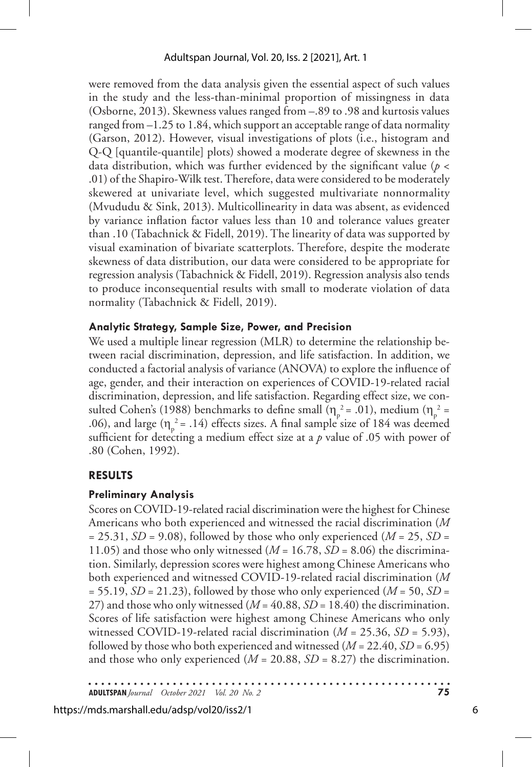were removed from the data analysis given the essential aspect of such values in the study and the less-than-minimal proportion of missingness in data (Osborne, 2013). Skewness values ranged from –.89 to .98 and kurtosis values ranged from –1.25 to 1.84, which support an acceptable range of data normality (Garson, 2012). However, visual investigations of plots (i.e., histogram and Q-Q [quantile-quantile] plots) showed a moderate degree of skewness in the data distribution, which was further evidenced by the significant value (*p* < .01) of the Shapiro-Wilk test. Therefore, data were considered to be moderately skewered at univariate level, which suggested multivariate nonnormality (Mvududu & Sink, 2013). Multicollinearity in data was absent, as evidenced by variance inflation factor values less than 10 and tolerance values greater than .10 (Tabachnick & Fidell, 2019). The linearity of data was supported by visual examination of bivariate scatterplots. Therefore, despite the moderate skewness of data distribution, our data were considered to be appropriate for regression analysis (Tabachnick & Fidell, 2019). Regression analysis also tends to produce inconsequential results with small to moderate violation of data normality (Tabachnick & Fidell, 2019).

#### **Analytic Strategy, Sample Size, Power, and Precision**

We used a multiple linear regression (MLR) to determine the relationship between racial discrimination, depression, and life satisfaction. In addition, we conducted a factorial analysis of variance (ANOVA) to explore the influence of age, gender, and their interaction on experiences of COVID-19-related racial discrimination, depression, and life satisfaction. Regarding effect size, we consulted Cohen's (1988) benchmarks to define small ( $\eta_p^2 = .01$ ), medium ( $\eta_p^2 =$ .06), and large ( $\eta_p^2$  = .14) effects sizes. A final sample size of 184 was deemed sufficient for detecting a medium effect size at a  $p$  value of .05 with power of .80 (Cohen, 1992).

### **RESULTS**

#### **Preliminary Analysis**

Scores on COVID-19-related racial discrimination were the highest for Chinese Americans who both experienced and witnessed the racial discrimination (*M*  $= 25.31, SD = 9.08$ , followed by those who only experienced ( $M = 25$ ,  $SD = 1$ 11.05) and those who only witnessed ( $M = 16.78$ ,  $SD = 8.06$ ) the discrimination. Similarly, depression scores were highest among Chinese Americans who both experienced and witnessed COVID-19-related racial discrimination (*M*  $= 55.19$ , *SD* = 21.23), followed by those who only experienced (*M* = 50, *SD* = 27) and those who only witnessed (*M* = 40.88, *SD* = 18.40) the discrimination. Scores of life satisfaction were highest among Chinese Americans who only witnessed COVID-19-related racial discrimination  $(M = 25.36, SD = 5.93)$ , followed by those who both experienced and witnessed (*M* = 22.40, *SD* = 6.95) and those who only experienced ( $M = 20.88$ ,  $SD = 8.27$ ) the discrimination.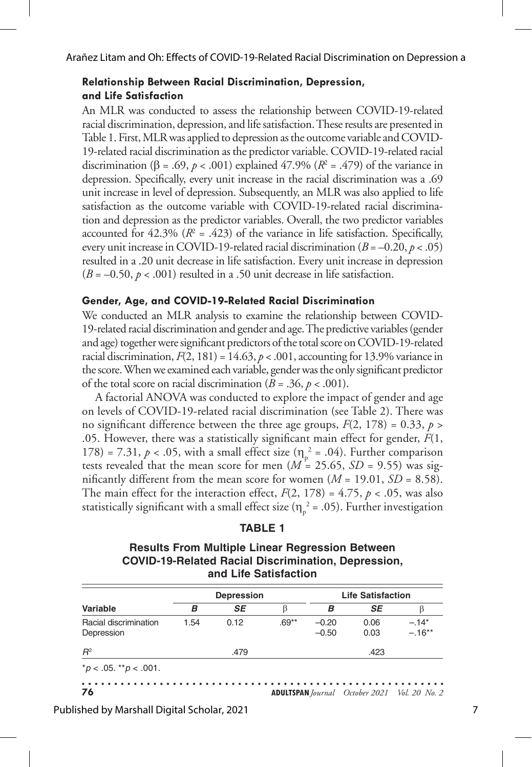#### **Relationship Between Racial Discrimination, Depression, and Life Satisfaction**

An MLR was conducted to assess the relationship between COVID-19-related racial discrimination, depression, and life satisfaction. These results are presented in Table 1. First, MLR was applied to depression as the outcome variable and COVID-19-related racial discrimination as the predictor variable. COVID-19-related racial discrimination ( $\beta = .69$ ,  $p < .001$ ) explained 47.9% ( $R^2 = .479$ ) of the variance in depression. Specifically, every unit increase in the racial discrimination was a .69 unit increase in level of depression. Subsequently, an MLR was also applied to life satisfaction as the outcome variable with COVID-19-related racial discrimination and depression as the predictor variables. Overall, the two predictor variables accounted for  $42.3\%$  ( $R^2 = .423$ ) of the variance in life satisfaction. Specifically, every unit increase in COVID-19-related racial discrimination  $(B = -0.20, p < .05)$ resulted in a .20 unit decrease in life satisfaction. Every unit increase in depression  $(B = -0.50, p < .001)$  resulted in a .50 unit decrease in life satisfaction.

#### **Gender, Age, and COVID-19-Related Racial Discrimination**

We conducted an MLR analysis to examine the relationship between COVID-19-related racial discrimination and gender and age. The predictive variables (gender and age) together were significant predictors of the total score on COVID-19-related racial discrimination,  $F(2, 181) = 14.63$ ,  $p < .001$ , accounting for 13.9% variance in the score. When we examined each variable, gender was the only significant predictor of the total score on racial discrimination ( $B = .36$ ,  $p < .001$ ).

A factorial ANOVA was conducted to explore the impact of gender and age on levels of COVID-19-related racial discrimination (see Table 2). There was no significant difference between the three age groups,  $F(2, 178) = 0.33$ ,  $p >$ .05. However, there was a statistically significant main effect for gender, *F*(1, 178) = 7.31,  $p < .05$ , with a small effect size ( $\eta_p^2 = .04$ ). Further comparison tests revealed that the mean score for men  $(M = 25.65, SD = 9.55)$  was significantly different from the mean score for women  $(M = 19.01, SD = 8.58)$ . The main effect for the interaction effect,  $F(2, 178) = 4.75$ ,  $p < .05$ , was also statistically significant with a small effect size ( $\eta_p^2$  = .05). Further investigation

**Results From Multiple Linear Regression Between COVID-19-Related Racial Discrimination, Depression, and Life Satisfaction**

|                                     | <b>Depression</b> |      |         | <b>Life Satisfaction</b> |              |                                                     |  |  |
|-------------------------------------|-------------------|------|---------|--------------------------|--------------|-----------------------------------------------------|--|--|
| Variable                            | в                 | SE   | β       | в                        | SE           |                                                     |  |  |
| Racial discrimination<br>Depression | 1.54              | 0.12 | $.69**$ | $-0.20$<br>$-0.50$       | 0.06<br>0.03 | $-.14*$<br>$-.16**$                                 |  |  |
| $R^2$                               | .479              |      |         |                          | .423         |                                                     |  |  |
| $*p < .05.$ $*p < .001.$            |                   |      |         |                          |              |                                                     |  |  |
| 76                                  |                   |      |         |                          |              | <b>ADULTSPAN</b> Journal October 2021 Vol. 20 No. 2 |  |  |

Published by Marshall Digital Scholar, 2021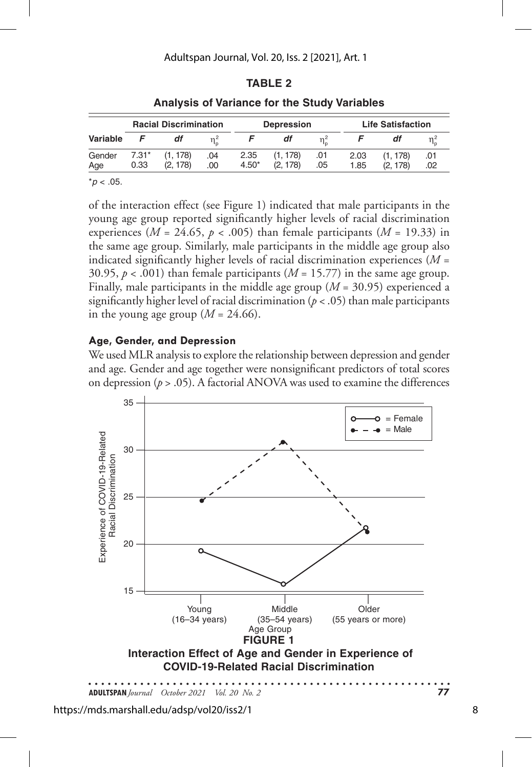#### **TABLE 2**

|               | <b>Racial Discrimination</b> |                     |            | <b>Depression</b> |                      |            | <b>Life Satisfaction</b> |                    |            |
|---------------|------------------------------|---------------------|------------|-------------------|----------------------|------------|--------------------------|--------------------|------------|
| Variable      |                              | df                  |            |                   |                      |            |                          |                    |            |
| Gender<br>Age | $7.31*$<br>0.33              | (1.178)<br>(2, 178) | .04<br>.00 | 2.35<br>$4.50*$   | (1, 178)<br>(2, 178) | .01<br>.05 | 2.03<br>1.85             | (1.178)<br>(2.178) | .01<br>.02 |

#### **Analysis of Variance for the Study Variables**

 $*p$  < .05.

of the interaction effect (see Figure 1) indicated that male participants in the young age group reported significantly higher levels of racial discrimination experiences ( $M = 24.65$ ,  $p < .005$ ) than female participants ( $M = 19.33$ ) in the same age group. Similarly, male participants in the middle age group also indicated significantly higher levels of racial discrimination experiences (*M* = 30.95,  $p < .001$ ) than female participants ( $M = 15.77$ ) in the same age group. Finally, male participants in the middle age group (*M* = 30.95) experienced a significantly higher level of racial discrimination (*p* < .05) than male participants in the young age group  $(M = 24.66)$ .

#### **Age, Gender, and Depression**

We used MLR analysis to explore the relationship between depression and gender and age. Gender and age together were nonsignificant predictors of total scores on depression ( $p > .05$ ). A factorial ANOVA was used to examine the differences

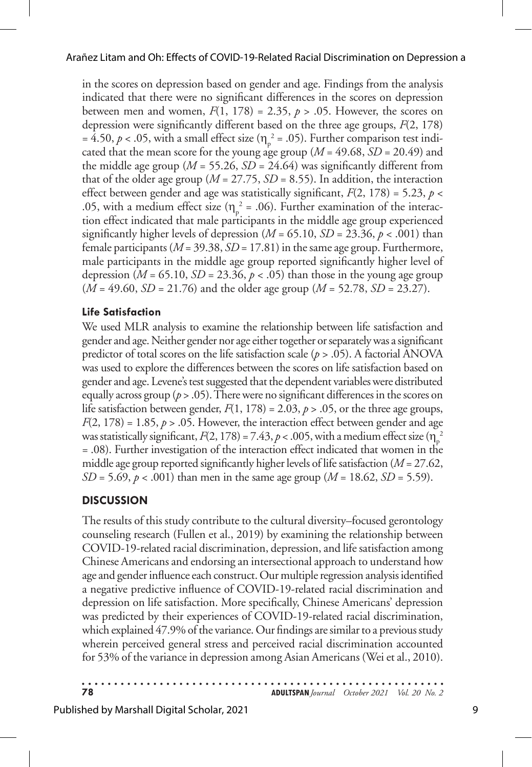in the scores on depression based on gender and age. Findings from the analysis indicated that there were no significant differences in the scores on depression between men and women,  $F(1, 178) = 2.35$ ,  $p > .05$ . However, the scores on depression were significantly different based on the three age groups, *F*(2, 178) = 4.50,  $p < .05$ , with a small effect size ( $\eta_p^2 = .05$ ). Further comparison test indicated that the mean score for the young age group  $(M = 49.68, SD = 20.49)$  and the middle age group ( $M = 55.26$ ,  $SD = 24.64$ ) was significantly different from that of the older age group ( $M = 27.75$ ,  $SD = 8.55$ ). In addition, the interaction effect between gender and age was statistically significant, *F*(2, 178) = 5.23, *p* < .05, with a medium effect size ( $\eta_p^2 = .06$ ). Further examination of the interaction effect indicated that male participants in the middle age group experienced significantly higher levels of depression ( $M = 65.10$ ,  $SD = 23.36$ ,  $p < .001$ ) than female participants (*M* = 39.38, *SD* = 17.81) in the same age group. Furthermore, male participants in the middle age group reported significantly higher level of depression ( $M = 65.10$ ,  $SD = 23.36$ ,  $p < .05$ ) than those in the young age group (*M* = 49.60, *SD* = 21.76) and the older age group (*M* = 52.78, *SD* = 23.27).

#### **Life Satisfaction**

We used MLR analysis to examine the relationship between life satisfaction and gender and age. Neither gender nor age either together or separately was a significant predictor of total scores on the life satisfaction scale (*p* > .05). A factorial ANOVA was used to explore the differences between the scores on life satisfaction based on gender and age. Levene's test suggested that the dependent variables were distributed equally across group ( $p > .05$ ). There were no significant differences in the scores on life satisfaction between gender,  $F(1, 178) = 2.03$ ,  $p > .05$ , or the three age groups,  $F(2, 178) = 1.85, p > .05$ . However, the interaction effect between gender and age was statistically significant,  $F(2, 178) = 7.43$ ,  $p < .005$ , with a medium effect size ( $\eta_p^2$ ) = .08). Further investigation of the interaction effect indicated that women in the middle age group reported significantly higher levels of life satisfaction (*M* = 27.62, *SD* = 5.69, *p* < .001) than men in the same age group (*M* = 18.62, *SD* = 5.59).

#### **DISCUSSION**

The results of this study contribute to the cultural diversity–focused gerontology counseling research (Fullen et al., 2019) by examining the relationship between COVID-19-related racial discrimination, depression, and life satisfaction among Chinese Americans and endorsing an intersectional approach to understand how age and gender influence each construct. Our multiple regression analysis identified a negative predictive influence of COVID-19-related racial discrimination and depression on life satisfaction. More specifically, Chinese Americans' depression was predicted by their experiences of COVID-19-related racial discrimination, which explained 47.9% of the variance. Our findings are similar to a previous study wherein perceived general stress and perceived racial discrimination accounted for 53% of the variance in depression among Asian Americans (Wei et al., 2010).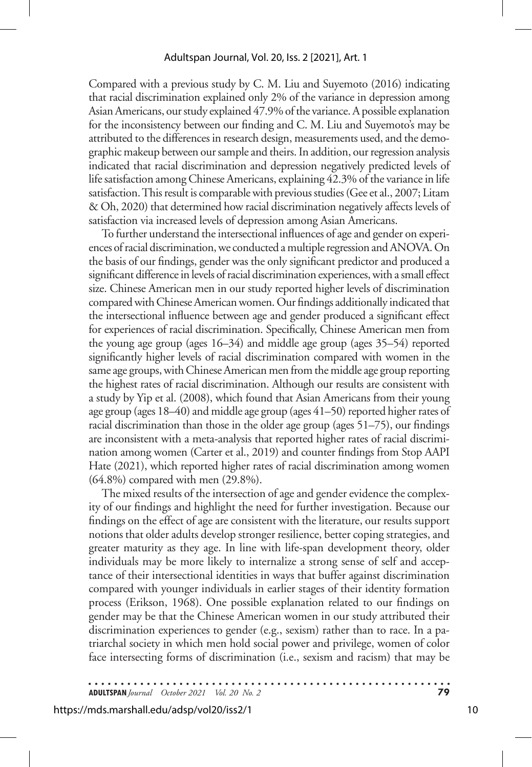Compared with a previous study by C. M. Liu and Suyemoto (2016) indicating that racial discrimination explained only 2% of the variance in depression among Asian Americans, our study explained 47.9% of the variance. A possible explanation for the inconsistency between our finding and C. M. Liu and Suyemoto's may be attributed to the differences in research design, measurements used, and the demographic makeup between our sample and theirs. In addition, our regression analysis indicated that racial discrimination and depression negatively predicted levels of life satisfaction among Chinese Americans, explaining 42.3% of the variance in life satisfaction. This result is comparable with previous studies (Gee et al., 2007; Litam & Oh, 2020) that determined how racial discrimination negatively affects levels of satisfaction via increased levels of depression among Asian Americans.

To further understand the intersectional influences of age and gender on experiences of racial discrimination, we conducted a multiple regression and ANOVA. On the basis of our findings, gender was the only significant predictor and produced a significant difference in levels of racial discrimination experiences, with a small effect size. Chinese American men in our study reported higher levels of discrimination compared with Chinese American women. Our findings additionally indicated that the intersectional influence between age and gender produced a significant effect for experiences of racial discrimination. Specifically, Chinese American men from the young age group (ages 16–34) and middle age group (ages 35–54) reported significantly higher levels of racial discrimination compared with women in the same age groups, with Chinese American men from the middle age group reporting the highest rates of racial discrimination. Although our results are consistent with a study by Yip et al. (2008), which found that Asian Americans from their young age group (ages 18–40) and middle age group (ages 41–50) reported higher rates of racial discrimination than those in the older age group (ages 51–75), our findings are inconsistent with a meta-analysis that reported higher rates of racial discrimination among women (Carter et al., 2019) and counter findings from Stop AAPI Hate (2021), which reported higher rates of racial discrimination among women (64.8%) compared with men (29.8%).

The mixed results of the intersection of age and gender evidence the complexity of our findings and highlight the need for further investigation. Because our findings on the effect of age are consistent with the literature, our results support notions that older adults develop stronger resilience, better coping strategies, and greater maturity as they age. In line with life-span development theory, older individuals may be more likely to internalize a strong sense of self and acceptance of their intersectional identities in ways that buffer against discrimination compared with younger individuals in earlier stages of their identity formation process (Erikson, 1968). One possible explanation related to our findings on gender may be that the Chinese American women in our study attributed their discrimination experiences to gender (e.g., sexism) rather than to race. In a patriarchal society in which men hold social power and privilege, women of color face intersecting forms of discrimination (i.e., sexism and racism) that may be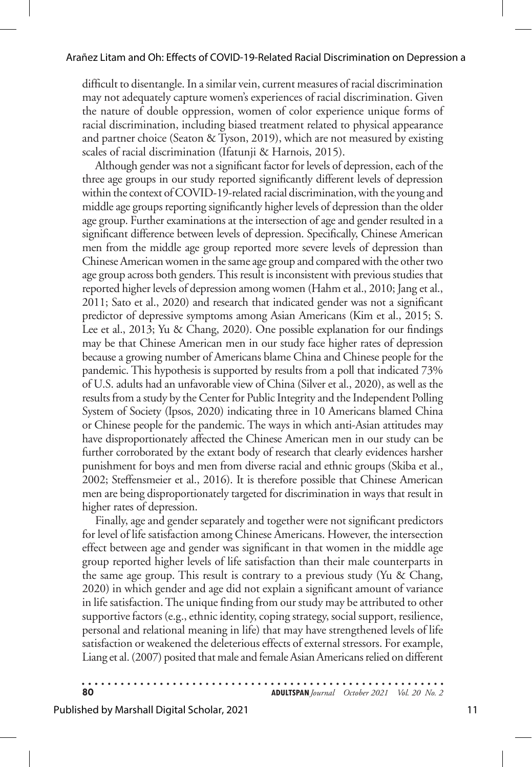difficult to disentangle. In a similar vein, current measures of racial discrimination may not adequately capture women's experiences of racial discrimination. Given the nature of double oppression, women of color experience unique forms of racial discrimination, including biased treatment related to physical appearance and partner choice (Seaton & Tyson, 2019), which are not measured by existing scales of racial discrimination (Ifatunji & Harnois, 2015).

Although gender was not a significant factor for levels of depression, each of the three age groups in our study reported significantly different levels of depression within the context of COVID-19-related racial discrimination, with the young and middle age groups reporting significantly higher levels of depression than the older age group. Further examinations at the intersection of age and gender resulted in a significant difference between levels of depression. Specifically, Chinese American men from the middle age group reported more severe levels of depression than Chinese American women in the same age group and compared with the other two age group across both genders. This result is inconsistent with previous studies that reported higher levels of depression among women (Hahm et al., 2010; Jang et al., 2011; Sato et al., 2020) and research that indicated gender was not a significant predictor of depressive symptoms among Asian Americans (Kim et al., 2015; S. Lee et al., 2013; Yu & Chang, 2020). One possible explanation for our findings may be that Chinese American men in our study face higher rates of depression because a growing number of Americans blame China and Chinese people for the pandemic. This hypothesis is supported by results from a poll that indicated 73% of U.S. adults had an unfavorable view of China (Silver et al., 2020), as well as the results from a study by the Center for Public Integrity and the Independent Polling System of Society (Ipsos, 2020) indicating three in 10 Americans blamed China or Chinese people for the pandemic. The ways in which anti-Asian attitudes may have disproportionately affected the Chinese American men in our study can be further corroborated by the extant body of research that clearly evidences harsher punishment for boys and men from diverse racial and ethnic groups (Skiba et al., 2002; Steffensmeier et al., 2016). It is therefore possible that Chinese American men are being disproportionately targeted for discrimination in ways that result in higher rates of depression.

Finally, age and gender separately and together were not significant predictors for level of life satisfaction among Chinese Americans. However, the intersection effect between age and gender was significant in that women in the middle age group reported higher levels of life satisfaction than their male counterparts in the same age group. This result is contrary to a previous study (Yu & Chang, 2020) in which gender and age did not explain a significant amount of variance in life satisfaction. The unique finding from our study may be attributed to other supportive factors (e.g., ethnic identity, coping strategy, social support, resilience, personal and relational meaning in life) that may have strengthened levels of life satisfaction or weakened the deleterious effects of external stressors. For example, Liang et al. (2007) posited that male and female Asian Americans relied on different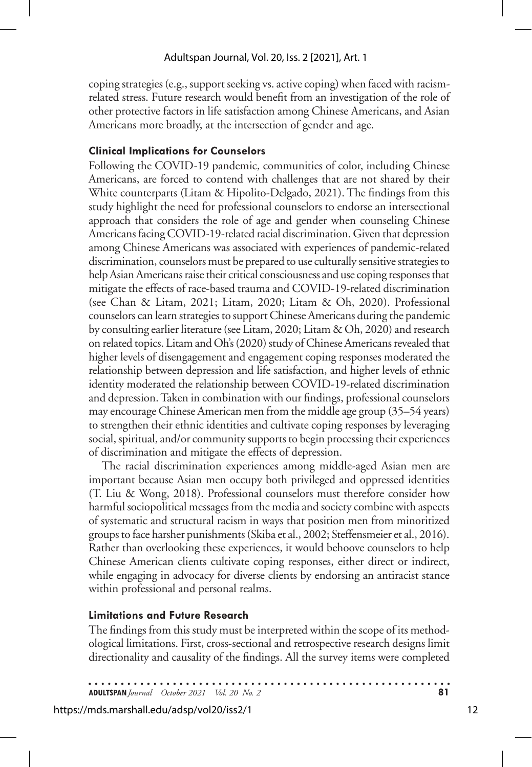coping strategies (e.g., support seeking vs. active coping) when faced with racismrelated stress. Future research would benefit from an investigation of the role of other protective factors in life satisfaction among Chinese Americans, and Asian Americans more broadly, at the intersection of gender and age.

#### **Clinical Implications for Counselors**

Following the COVID-19 pandemic, communities of color, including Chinese Americans, are forced to contend with challenges that are not shared by their White counterparts (Litam & Hipolito-Delgado, 2021). The findings from this study highlight the need for professional counselors to endorse an intersectional approach that considers the role of age and gender when counseling Chinese Americans facing COVID-19-related racial discrimination. Given that depression among Chinese Americans was associated with experiences of pandemic-related discrimination, counselors must be prepared to use culturally sensitive strategies to help Asian Americans raise their critical consciousness and use coping responses that mitigate the effects of race-based trauma and COVID-19-related discrimination (see Chan & Litam, 2021; Litam, 2020; Litam & Oh, 2020). Professional counselors can learn strategies to support Chinese Americans during the pandemic by consulting earlier literature (see Litam, 2020; Litam & Oh, 2020) and research on related topics. Litam and Oh's (2020) study of Chinese Americans revealed that higher levels of disengagement and engagement coping responses moderated the relationship between depression and life satisfaction, and higher levels of ethnic identity moderated the relationship between COVID-19-related discrimination and depression. Taken in combination with our findings, professional counselors may encourage Chinese American men from the middle age group (35–54 years) to strengthen their ethnic identities and cultivate coping responses by leveraging social, spiritual, and/or community supports to begin processing their experiences of discrimination and mitigate the effects of depression.

The racial discrimination experiences among middle-aged Asian men are important because Asian men occupy both privileged and oppressed identities (T. Liu & Wong, 2018). Professional counselors must therefore consider how harmful sociopolitical messages from the media and society combine with aspects of systematic and structural racism in ways that position men from minoritized groups to face harsher punishments (Skiba et al., 2002; Steffensmeier et al., 2016). Rather than overlooking these experiences, it would behoove counselors to help Chinese American clients cultivate coping responses, either direct or indirect, while engaging in advocacy for diverse clients by endorsing an antiracist stance within professional and personal realms.

#### **Limitations and Future Research**

The findings from this study must be interpreted within the scope of its methodological limitations. First, cross-sectional and retrospective research designs limit directionality and causality of the findings. All the survey items were completed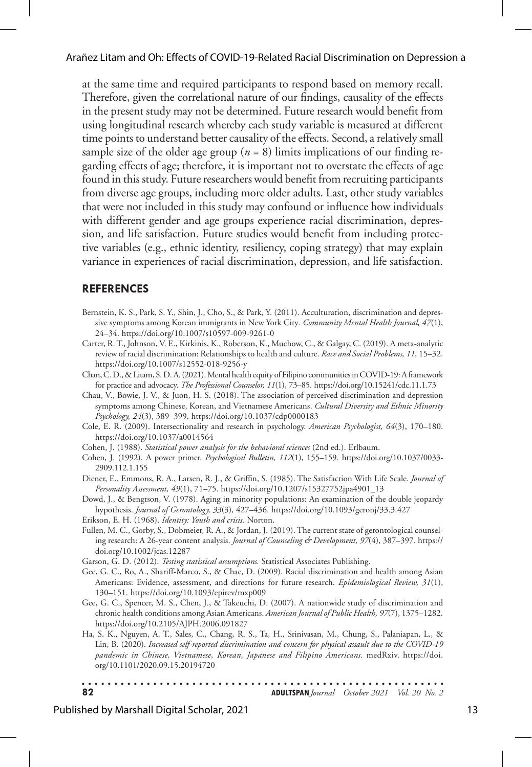at the same time and required participants to respond based on memory recall. Therefore, given the correlational nature of our findings, causality of the effects in the present study may not be determined. Future research would benefit from using longitudinal research whereby each study variable is measured at different time points to understand better causality of the effects. Second, a relatively small sample size of the older age group  $(n = 8)$  limits implications of our finding regarding effects of age; therefore, it is important not to overstate the effects of age found in this study. Future researchers would benefit from recruiting participants from diverse age groups, including more older adults. Last, other study variables that were not included in this study may confound or influence how individuals with different gender and age groups experience racial discrimination, depression, and life satisfaction. Future studies would benefit from including protective variables (e.g., ethnic identity, resiliency, coping strategy) that may explain variance in experiences of racial discrimination, depression, and life satisfaction.

#### **REFERENCES**

- Bernstein, K. S., Park, S. Y., Shin, J., Cho, S., & Park, Y. (2011). Acculturation, discrimination and depressive symptoms among Korean immigrants in New York City*. Community Mental Health Journal, 47*(1), 24–34. https://doi.org/10.1007/s10597-009-9261-0
- Carter, R. T., Johnson, V. E., Kirkinis, K., Roberson, K., Muchow, C., & Galgay, C. (2019). A meta-analytic review of racial discrimination: Relationships to health and culture. *Race and Social Problems, 11,* 15–32. https://doi.org/10.1007/s12552-018-9256-y
- Chan, C. D., & Litam, S. D. A. (2021). Mental health equity of Filipino communities in COVID-19: A framework for practice and advocacy. *The Professional Counselor, 11*(1), 73–85. https://doi.org/10.15241/cdc.11.1.73
- Chau, V., Bowie, J. V., & Juon, H. S. (2018). The association of perceived discrimination and depression symptoms among Chinese, Korean, and Vietnamese Americans. *Cultural Diversity and Ethnic Minority Psychology, 24*(3), 389–399. https://doi.org/10.1037/cdp0000183
- Cole, E. R. (2009). Intersectionality and research in psychology. *American Psychologist, 64*(3), 170–180. https://doi.org/10.1037/a0014564
- Cohen, J. (1988). *Statistical power analysis for the behavioral sciences* (2nd ed.). Erlbaum.
- Cohen, J. (1992). A power primer. *Psychological Bulletin, 112*(1), 155–159. https://doi.org/10.1037/0033- 2909.112.1.155
- Diener, E., Emmons, R. A., Larsen, R. J., & Griffin, S. (1985). The Satisfaction With Life Scale. *Journal of Personality Assessment, 49*(1), 71–75. https://doi.org/10.1207/s15327752jpa4901\_13
- Dowd, J., & Bengtson, V. (1978). Aging in minority populations: An examination of the double jeopardy hypothesis. *Journal of Gerontology, 33*(3)*,* 427–436. https://doi.org/10.1093/geronj/33.3.427
- Erikson, E. H. (1968). *Identity: Youth and crisis.* Norton.
- Fullen, M. C., Gorby, S., Dobmeier, R. A., & Jordan, J. (2019). The current state of gerontological counseling research: A 26-year content analysis. *Journal of Counseling & Development, 97*(4), 387–397. https:// doi.org/10.1002/jcas.12287
- Garson, G. D. (2012). *Testing statistical assumptions.* Statistical Associates Publishing.
- Gee, G. C., Ro, A., Shariff-Marco, S., & Chae, D. (2009). Racial discrimination and health among Asian Americans: Evidence, assessment, and directions for future research. *Epidemiological Review, 31*(1), 130–151. https://doi.org/10.1093/epirev/mxp009
- Gee, G. C., Spencer, M. S., Chen, J., & Takeuchi, D. (2007). A nationwide study of discrimination and chronic health conditions among Asian Americans. *American Journal of Public Health, 97*(7), 1375–1282. https://doi.org/10.2105/AJPH.2006.091827
- Ha, S. K., Nguyen, A. T., Sales, C., Chang, R. S., Ta, H., Srinivasan, M., Chung, S., Palaniapan, L., & Lin, B. (2020). *Increased self-reported discrimination and concern for physical assault due to the COVID-19 pandemic in Chinese, Vietnamese, Korean, Japanese and Filipino Americans.* medRxiv. https://doi. org/10.1101/2020.09.15.20194720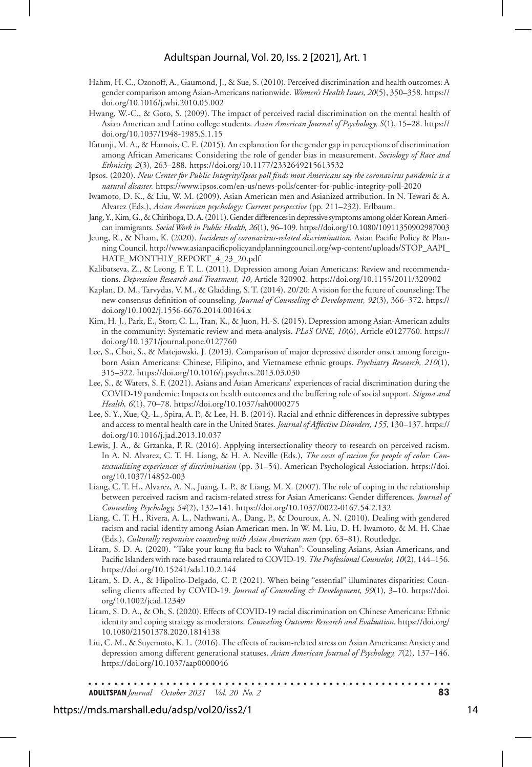#### Adultspan Journal, Vol. 20, Iss. 2 [2021], Art. 1

- Hahm, H. C., Ozonoff, A., Gaumond, J., & Sue, S. (2010). Perceived discrimination and health outcomes: A gender comparison among Asian-Americans nationwide. *Women's Health Issues, 20*(5), 350–358. https:// doi.org/10.1016/j.whi.2010.05.002
- Hwang, W.-C., & Goto, S. (2009). The impact of perceived racial discrimination on the mental health of Asian American and Latino college students. *Asian American Journal of Psychology, S*(1), 15–28. https:// doi.org/10.1037/1948-1985.S.1.15
- Ifatunji, M. A., & Harnois, C. E. (2015). An explanation for the gender gap in perceptions of discrimination among African Americans: Considering the role of gender bias in measurement. *Sociology of Race and Ethnicity, 2*(3), 263–288*.* https://doi.org/10.1177/2332649215613532
- Ipsos. (2020). *New Center for Public Integrity/Ipsos poll finds most Americans say the coronavirus pandemic is a natural disaster.* https://www.ipsos.com/en-us/news-polls/center-for-public-integrity-poll-2020
- Iwamoto, D. K., & Liu, W. M. (2009). Asian American men and Asianized attribution. In N. Tewari & A. Alvarez (Eds.), *Asian American psychology: Current perspective* (pp. 211–232). Erlbaum.
- Jang, Y., Kim, G., & Chiriboga, D. A. (2011). Gender differences in depressive symptoms among older Korean American immigrants. *Social Work in Public Health, 26*(1), 96–109. https://doi.org/10.1080/10911350902987003
- Jeung, R., & Nham, K. (2020). *Incidents of coronavirus-related discrimination.* Asian Pacific Policy & Planning Council. http://www.asianpacificpolicyandplanningcouncil.org/wp-content/uploads/STOP\_AAPI\_ HATE\_MONTHLY\_REPORT\_4\_23\_20.pdf
- Kalibatseva, Z., & Leong, F. T. L. (2011). Depression among Asian Americans: Review and recommendations. *Depression Research and Treatment, 10*, Article 320902. https://doi.org/10.1155/2011/320902
- Kaplan, D. M., Tarvydas, V. M., & Gladding, S. T. (2014). 20/20: A vision for the future of counseling: The new consensus definition of counseling. *Journal of Counseling & Development, 92*(3), 366–372. https:// doi.org/10.1002/j.1556-6676.2014.00164.x
- Kim, H. J., Park, E., Storr, C. L., Tran, K., & Juon, H.-S. (2015). Depression among Asian-American adults in the community: Systematic review and meta-analysis. *PLoS ONE, 10*(6), Article e0127760. https:// doi.org/10.1371/journal.pone.0127760
- Lee, S., Choi, S., & Matejowski, J. (2013). Comparison of major depressive disorder onset among foreignborn Asian Americans: Chinese, Filipino, and Vietnamese ethnic groups. *Psychiatry Research, 210*(1), 315–322. https://doi.org/10.1016/j.psychres.2013.03.030
- Lee, S., & Waters, S. F. (2021). Asians and Asian Americans' experiences of racial discrimination during the COVID-19 pandemic: Impacts on health outcomes and the buffering role of social support. *Stigma and Health, 6*(1), 70–78. https://doi.org/10.1037/sah0000275
- Lee, S. Y., Xue, Q.-L., Spira, A. P., & Lee, H. B. (2014). Racial and ethnic differences in depressive subtypes and access to mental health care in the United States. *Journal of Affective Disorders, 155*, 130–137. https:// doi.org/10.1016/j.jad.2013.10.037
- Lewis, J. A., & Grzanka, P. R. (2016). Applying intersectionality theory to research on perceived racism. In A. N. Alvarez, C. T. H. Liang, & H. A. Neville (Eds.), *The costs of racism for people of color: Contextualizing experiences of discrimination* (pp. 31–54). American Psychological Association. https://doi. org/10.1037/14852-003
- Liang, C. T. H., Alvarez, A. N., Juang, L. P., & Liang, M. X. (2007). The role of coping in the relationship between perceived racism and racism-related stress for Asian Americans: Gender differences. *Journal of Counseling Psychology, 54*(2), 132–141. https://doi.org/10.1037/0022-0167.54.2.132
- Liang, C. T. H., Rivera, A. L., Nathwani, A., Dang, P., & Douroux, A. N. (2010). Dealing with gendered racism and racial identity among Asian American men. In W. M. Liu, D. H. Iwamoto, & M. H. Chae (Eds.), *Culturally responsive counseling with Asian American men* (pp. 63–81). Routledge.
- Litam, S. D. A. (2020). "Take your kung flu back to Wuhan": Counseling Asians, Asian Americans, and Pacific Islanders with race-based trauma related to COVID-19. *The Professional Counselor, 10*(2), 144–156. https://doi.org/10.15241/sdal.10.2.144
- Litam, S. D. A., & Hipolito-Delgado, C. P. (2021). When being "essential" illuminates disparities: Counseling clients affected by COVID-19. *Journal of Counseling & Development*, 99(1), 3-10. https://doi. org/10.1002/jcad.12349
- Litam, S. D. A., & Oh, S. (2020). Effects of COVID-19 racial discrimination on Chinese Americans: Ethnic identity and coping strategy as moderators. *Counseling Outcome Research and Evaluation.* https://doi.org/ 10.1080/21501378.2020.1814138
- Liu, C. M., & Suyemoto, K. L. (2016). The effects of racism-related stress on Asian Americans: Anxiety and depression among different generational statuses. *Asian American Journal of Psychology, 7*(2), 137–146. https://doi.org/10.1037/aap0000046

**ADULTSPAN***Journal October 2021 Vol. 20 No. 2* **83**

#### https://mds.marshall.edu/adsp/vol20/iss2/1